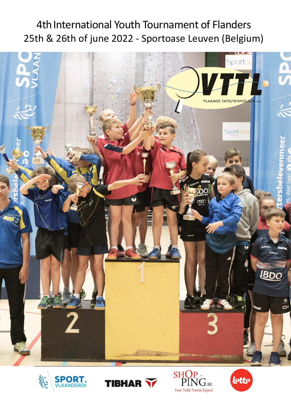# 4th International Youth Tournament of Flanders 25th & 26th of june 2022 - Sportoase Leuven (Belgium)









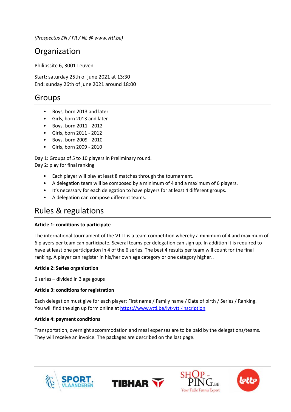*(Prospectus EN / FR / NL @ www.vttl.be)*

## Organization

Philipssite 6, 3001 Leuven.

Start: saturday 25th of june 2021 at 13:30 End: sunday 26th of june 2021 around 18:00

### Groups

- Boys, born 2013 and later
- Girls, born 2013 and later
- Boys, born 2011 2012
- Girls, born 2011 2012
- Boys, born 2009 2010
- Girls, born 2009 2010

Day 1: Groups of 5 to 10 players in Preliminary round.

Day 2: play for final ranking

- Each player will play at least 8 matches through the tournament.
- A delegation team will be composed by a minimum of 4 and a maximum of 6 players.
- It's necessary for each delegation to have players for at least 4 different groups.
- A delegation can compose different teams.

### Rules & regulations

#### **Article 1: conditions to participate**

The international tournament of the VTTL is a team competition whereby a minimum of 4 and maximum of 6 players per team can participate. Several teams per delegation can sign up. In addition it is required to have at least one participation in 4 of the 6 series. The best 4 results per team will count for the final ranking. A player can register in his/her own age category or one category higher..

#### **Article 2: Series organization**

6 series – divided in 3 age goups

#### **Article 3: conditions for registration**

Each delegation must give for each player: First name / Family name / Date of birth / Series / Ranking. You will find the sign up form online at <https://www.vttl.be/iyt-vttl-inscription>

#### **Article 4: payment conditions**

Transportation, overnight accommodation and meal expenses are to be paid by the delegations/teams. They will receive an invoice. The packages are described on the last page.







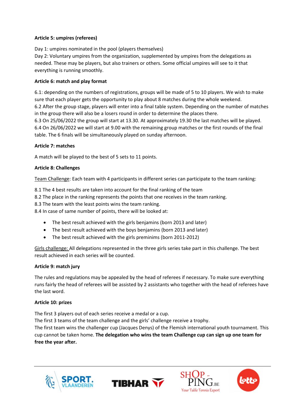#### **Article 5: umpires (referees)**

Day 1: umpires nominated in the pool (players themselves) Day 2: Voluntary umpires from the organization, supplemented by umpires from the delegations as needed. These may be players, but also trainers or others. Some official umpires will see to it that everything is running smoothly.

#### **Article 6: match and play format**

6.1: depending on the numbers of registrations, groups will be made of 5 to 10 players. We wish to make sure that each player gets the opportunity to play about 8 matches during the whole weekend. 6.2 After the group stage, players will enter into a final table system. Depending on the number of matches in the group there will also be a losers round in order to determine the places there.

6.3 On 25/06/2022 the group will start at 13.30. At approximately 19.30 the last matches will be played. 6.4 On 26/06/2022 we will start at 9.00 with the remaining group matches or the first rounds of the final table. The 6 finals will be simultaneously played on sunday afternoon.

#### **Article 7: matches**

A match will be played to the best of 5 sets to 11 points.

#### **Article 8: Challenges**

Team Challenge: Each team with 4 participants in different series can participate to the team ranking:

8.1 The 4 best results are taken into account for the final ranking of the team

8.2 The place in the ranking represents the points that one receives in the team ranking.

8.3 The team with the least points wins the team ranking.

8.4 In case of same number of points, there will be looked at:

- The best result achieved with the girls benjamins (born 2013 and later)
- The best result achieved with the boys benjamins (born 2013 and later)
- The best result achieved with the girls preminims (born 2011-2012)

Girls challenge: All delegations represented in the three girls series take part in this challenge. The best result achieved in each series will be counted.

#### **Article 9: match jury**

The rules and regulations may be appealed by the head of referees if necessary. To make sure everything runs fairly the head of referees will be assisted by 2 assistants who together with the head of referees have the last word.

#### **Article 10: prizes**

The first 3 players out of each series receive a medal or a cup.

The first 3 teams of the team challenge and the girls' challenge receive a trophy.

The first team wins the challenger cup (Jacques Denys) of the Flemish international youth tournament. This cup cannot be taken home. **The delegation who wins the team Challenge cup can sign up one team for free the year after.**